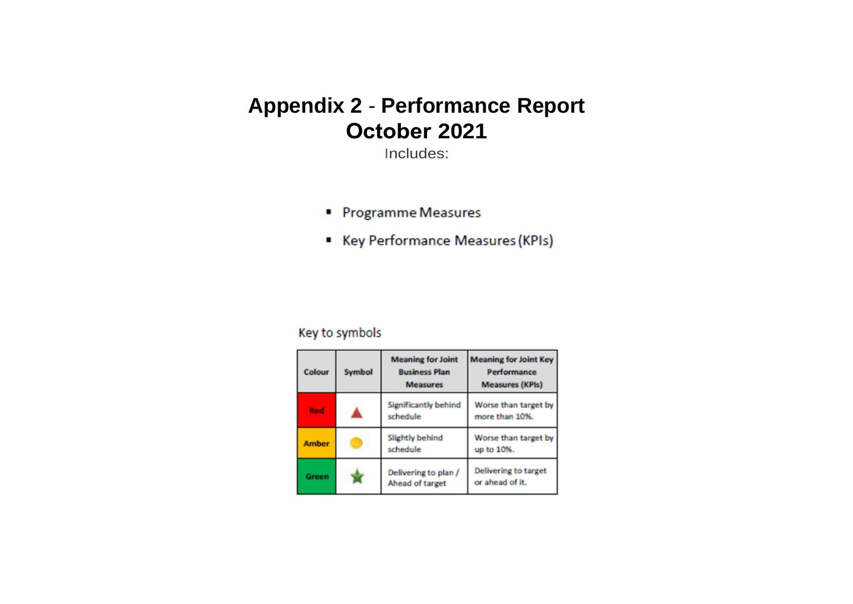# **Appendix 2** - **Performance Report October 2021**

Includes:

- Programme Measures
- Key Performance Measures (KPIs)

# Key to symbols

| Colour       | Symbol | <b>Meaning for Joint</b><br><b>Business Plan</b><br><b>Measures</b> | <b>Meaning for Joint Key</b><br>Performance<br><b>Measures (KPIs)</b> |
|--------------|--------|---------------------------------------------------------------------|-----------------------------------------------------------------------|
| Red          |        | <b>Significantly behind</b><br>schedule                             | Worse than target by<br>more than 10%.                                |
| <b>Amber</b> |        | Slightly behind<br>schedule                                         | Worse than target by<br>up to 10%.                                    |
| Green        |        | Delivering to plan /<br>Ahead of target                             | Delivering to target<br>or ahead of it.                               |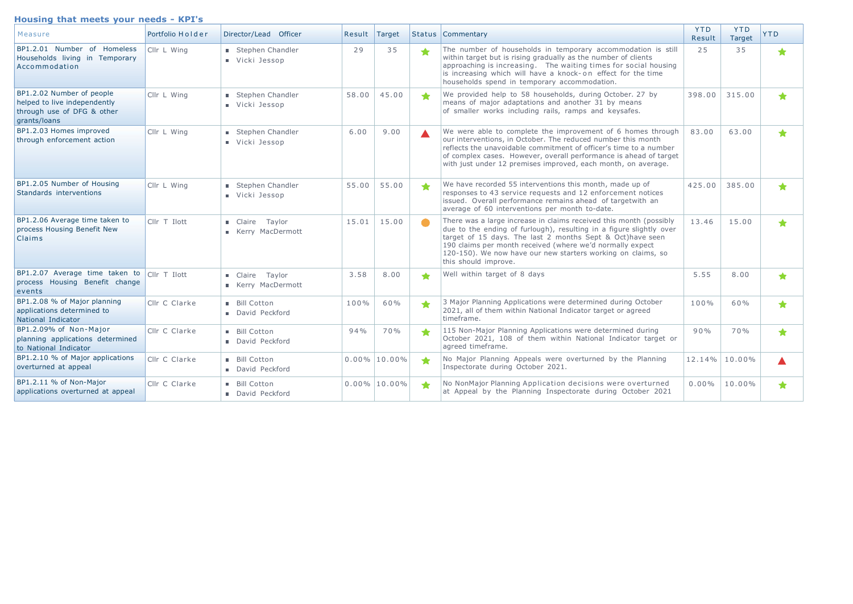#### **Housing that meets your needs KPI's**

| Measure                                                                                                 | Portfolio Holder | Director/Lead Officer                      | Result | Target          |   | <b>Status   Commentary</b>                                                                                                                                                                                                                                                                                                                                  | <b>YTD</b><br>Result | <b>YTD</b><br>Target | <b>YTD</b>    |
|---------------------------------------------------------------------------------------------------------|------------------|--------------------------------------------|--------|-----------------|---|-------------------------------------------------------------------------------------------------------------------------------------------------------------------------------------------------------------------------------------------------------------------------------------------------------------------------------------------------------------|----------------------|----------------------|---------------|
| BP1.2.01 Number of Homeless<br>Households living in Temporary<br>Accommodation                          | Cllr L Wing      | Stephen Chandler<br>Vicki Jessop           | 29     | 35              |   | The number of households in temporary accommodation is still<br>within target but is rising gradually as the number of clients<br>approaching is increasing. The waiting times for social housing<br>is increasing which will have a knock-on effect for the time<br>households spend in temporary accommodation.                                           | 25                   | 35                   | $\color{red}$ |
| BP1.2.02 Number of people<br>helped to live independently<br>through use of DFG & other<br>grants/loans | Cllr L Wing      | Stephen Chandler<br>Vicki Jessop           | 58.00  | 45.00           | ★ | We provided help to 58 households, during October. 27 by<br>means of major adaptations and another 31 by means<br>of smaller works including rails, ramps and keysafes.                                                                                                                                                                                     | 398.00               | 315.00               | ◆             |
| BP1.2.03 Homes improved<br>through enforcement action                                                   | Cllr L Wing      | Stephen Chandler<br>Vicki Jessop           | 6.00   | 9.00            |   | We were able to complete the improvement of 6 homes through<br>our interventions, in October. The reduced number this month<br>reflects the unavoidable commitment of officer's time to a number<br>of complex cases. However, overall performance is ahead of target<br>with just under 12 premises improved, each month, on average.                      | 83.00                | 63.00                | ◆             |
| BP1.2.05 Number of Housing<br>Standards interventions                                                   | Cllr L Wing      | Stephen Chandler<br>Vicki Jessop           | 55.00  | 55.00           | ★ | We have recorded 55 interventions this month, made up of<br>responses to 43 service requests and 12 enforcement notices<br>issued. Overall performance remains ahead of targetwith an<br>average of 60 interventions per month to-date.                                                                                                                     | 425.00               | 385.00               | ◆             |
| BP1.2.06 Average time taken to<br>process Housing Benefit New<br>Claims                                 | Cllr T Ilott     | Claire Taylor<br><b>E</b> Kerry MacDermott | 15.01  | 15.00           |   | There was a large increase in claims received this month (possibly<br>due to the ending of furlough), resulting in a figure slightly over<br>target of 15 days. The last 2 months Sept & Oct)have seen<br>190 claims per month received (where we'd normally expect<br>120-150). We now have our new starters working on claims, so<br>this should improve. | 13.46                | 15.00                | ╈             |
| BP1.2.07 Average time taken to<br>process Housing Benefit change<br>events                              | CIIr T Ilott     | Claire<br>Taylor<br>Kerry MacDermott       | 3.58   | 8.00            | ╈ | Well within target of 8 days                                                                                                                                                                                                                                                                                                                                | 5.55                 | 8,00                 | ◆             |
| BP1.2.08 % of Major planning<br>applications determined to<br>National Indicator                        | Cllr C Clarke    | Bill Cotton<br>David Peckford              | 100%   | 60%             |   | 3 Major Planning Applications were determined during October<br>2021, all of them within National Indicator target or agreed<br>timeframe.                                                                                                                                                                                                                  | 100%                 | 60%                  | ◆             |
| BP1.2.09% of Non-Major<br>planning applications determined<br>to National Indicator                     | Cllr C Clarke    | Bill Cotton<br>David Peckford              | 94%    | 70%             | ◆ | 115 Non-Major Planning Applications were determined during<br>October 2021, 108 of them within National Indicator target or<br>agreed timeframe.                                                                                                                                                                                                            | 90%                  | 70%                  | ★             |
| BP1.2.10 % of Major applications<br>overturned at appeal                                                | Cllr C Clarke    | Bill Cotton<br>David Peckford              |        | $0.00\%$ 10.00% |   | No Major Planning Appeals were overturned by the Planning<br>Inspectorate during October 2021.                                                                                                                                                                                                                                                              | 12.14%               | 10.00%               |               |
| BP1.2.11 % of Non-Major<br>applications overturned at appeal                                            | Cllr C Clarke    | Bill Cotton<br>David Peckford              |        | $0.00\%$ 10.00% |   | No NonMajor Planning Application decisions were overturned<br>at Appeal by the Planning Inspectorate during October 2021                                                                                                                                                                                                                                    | $0.00\%$             | 10.00%               |               |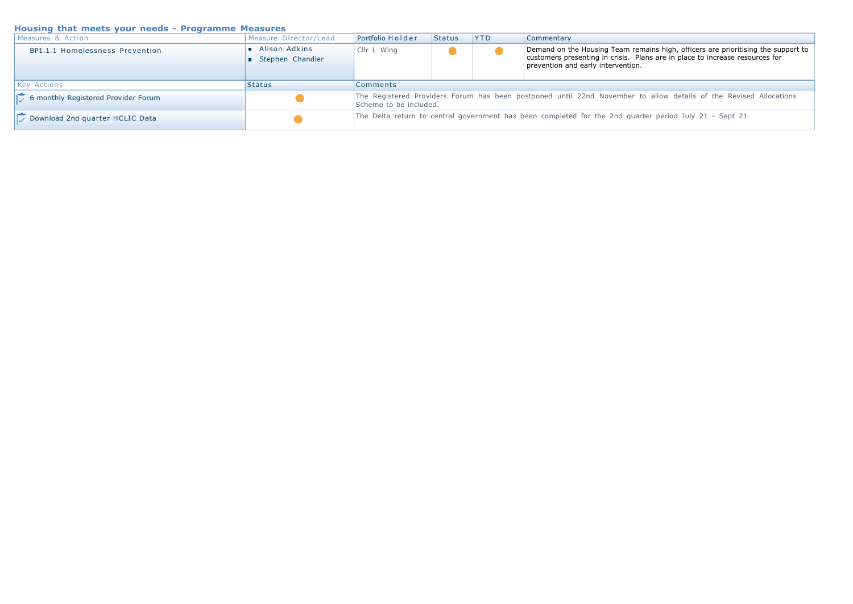## **Housing that meets your needs Programme Measures**

| Measures & Action                   | Measure Director/Lead             | Portfolio Holder                                                                                                                            | Status | <b>YTD</b> | Commentary                                                                                                                                                                                              |  |  |
|-------------------------------------|-----------------------------------|---------------------------------------------------------------------------------------------------------------------------------------------|--------|------------|---------------------------------------------------------------------------------------------------------------------------------------------------------------------------------------------------------|--|--|
| BP1.1.1 Homelessness Prevention     | Alison Adkins<br>Stephen Chandler | Cllr L Wing                                                                                                                                 |        |            | Demand on the Housing Team remains high, officers are prioritising the support to<br>customers presenting in crisis. Plans are in place to increase resources for<br>prevention and early intervention. |  |  |
| <b>Key Actions</b>                  | <b>Status</b>                     | <b>Comments</b>                                                                                                                             |        |            |                                                                                                                                                                                                         |  |  |
| 6 monthly Registered Provider Forum |                                   | The Registered Providers Forum has been postponed until 22nd November to allow details of the Revised Allocations<br>Scheme to be included. |        |            |                                                                                                                                                                                                         |  |  |
| Download 2nd quarter HCLIC Data     |                                   | The Delta return to central government has been completed for the 2nd quarter period July 21 - Sept 21                                      |        |            |                                                                                                                                                                                                         |  |  |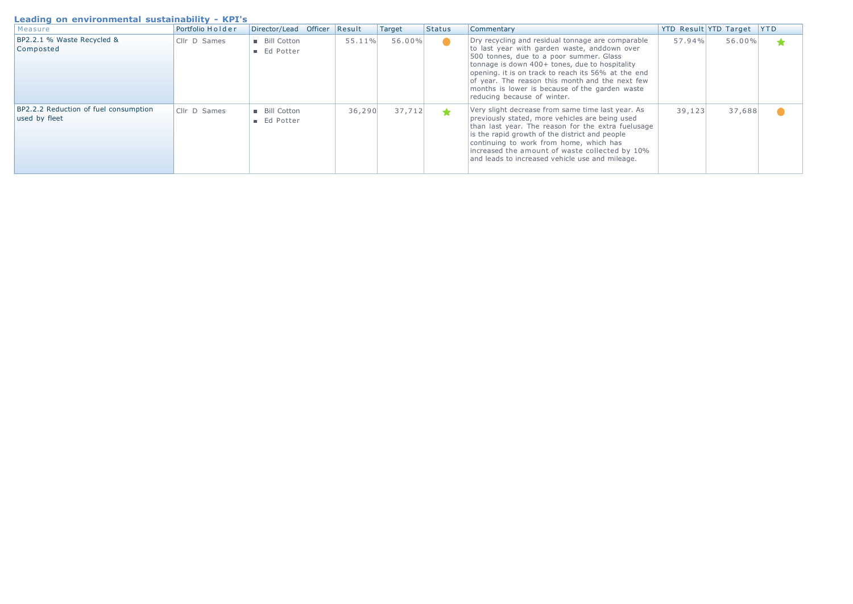#### **Leading on environmental sustainability KPI's**

| Measure                                                | Portfolio Holder    | Director/Lead Officer      | Result  | Target | Status | Commentary                                                                                                                                                                                                                                                                                                                                                                                |         | <b>YTD Result YTD Target</b> | <b>YTD</b> |
|--------------------------------------------------------|---------------------|----------------------------|---------|--------|--------|-------------------------------------------------------------------------------------------------------------------------------------------------------------------------------------------------------------------------------------------------------------------------------------------------------------------------------------------------------------------------------------------|---------|------------------------------|------------|
| BP2.2.1 % Waste Recycled &<br>Composted                | Cllr D Sames        | Bill Cotton<br>■ Ed Potter | 55.11%  | 56.00% |        | Dry recycling and residual tonnage are comparable<br>to last year with garden waste, anddown over<br>500 tonnes, due to a poor summer. Glass<br>tonnage is down 400+ tones, due to hospitality<br>opening, it is on track to reach its 56% at the end<br>of year. The reason this month and the next few<br>months is lower is because of the garden waste<br>reducing because of winter. | 57.94%  | 56.00%                       |            |
| BP2.2.2 Reduction of fuel consumption<br>used by fleet | <b>Cllr D Sames</b> | Bill Cotton<br>■ Ed Potter | 36, 290 | 37,712 | ┻      | Very slight decrease from same time last year. As<br>previously stated, more vehicles are being used<br>than last year. The reason for the extra fuelusage<br>is the rapid growth of the district and people<br>continuing to work from home, which has<br>increased the amount of waste collected by 10%<br>and leads to increased vehicle use and mileage.                              | 39, 123 | 37,688                       |            |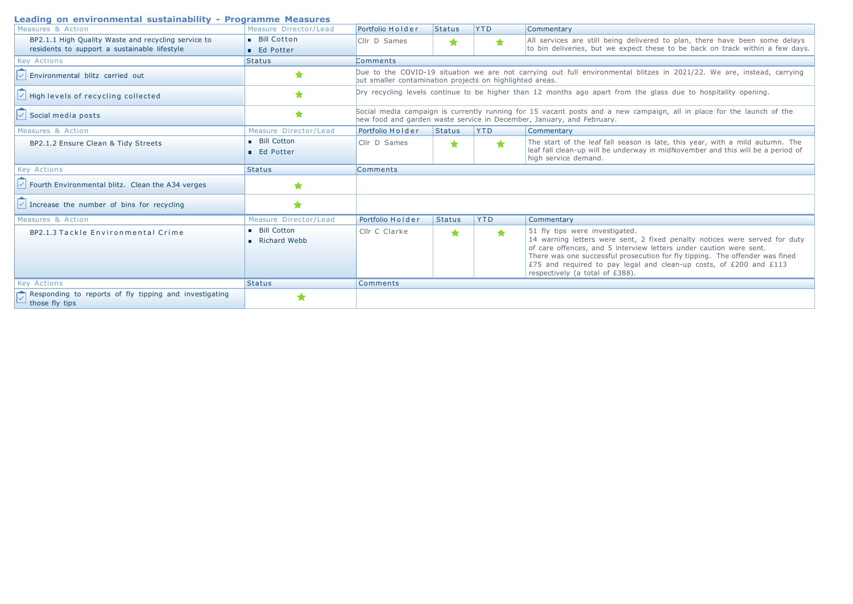#### **Leading on environmental sustainability Programme Measures**

| Lcauniy vii chvirvinnentar sustaniability - Frvyranniic Mcasures<br>Measures & Action               | Measure Director/Lead                | Portfolio Holder                                                                                                                                                                               | Status                                                                                                                                                                             | <b>YTD</b> | Commentary                                                                                                                                                                                                                                                                                                                                                                  |  |  |  |
|-----------------------------------------------------------------------------------------------------|--------------------------------------|------------------------------------------------------------------------------------------------------------------------------------------------------------------------------------------------|------------------------------------------------------------------------------------------------------------------------------------------------------------------------------------|------------|-----------------------------------------------------------------------------------------------------------------------------------------------------------------------------------------------------------------------------------------------------------------------------------------------------------------------------------------------------------------------------|--|--|--|
| BP2.1.1 High Quality Waste and recycling service to<br>residents to support a sustainable lifestyle | Bill Cotton<br><b>Ed Potter</b>      | Cllr D Sames                                                                                                                                                                                   | *                                                                                                                                                                                  | ★          | All services are still being delivered to plan, there have been some delays<br>to bin deliveries, but we expect these to be back on track within a few days.                                                                                                                                                                                                                |  |  |  |
| <b>Key Actions</b>                                                                                  | <b>Status</b>                        | Comments                                                                                                                                                                                       |                                                                                                                                                                                    |            |                                                                                                                                                                                                                                                                                                                                                                             |  |  |  |
| Environmental blitz carried out                                                                     | ★                                    |                                                                                                                                                                                                | Due to the COVID-19 situation we are not carrying out full environmental blitzes in 2021/22. We are, instead, carrying<br>but smaller contamination projects on highlighted areas. |            |                                                                                                                                                                                                                                                                                                                                                                             |  |  |  |
| High levels of recycling collected                                                                  | ÷                                    | Dry recycling levels continue to be higher than 12 months ago apart from the glass due to hospitality opening.                                                                                 |                                                                                                                                                                                    |            |                                                                                                                                                                                                                                                                                                                                                                             |  |  |  |
| Social media posts                                                                                  | ★                                    | Social media campaign is currently running for 15 vacant posts and a new campaign, all in place for the launch of the<br>hew food and garden waste service in December, January, and February. |                                                                                                                                                                                    |            |                                                                                                                                                                                                                                                                                                                                                                             |  |  |  |
| Measures & Action                                                                                   | Measure Director/Lead                | Portfolio Holder                                                                                                                                                                               | Status                                                                                                                                                                             | <b>YTD</b> | Commentary                                                                                                                                                                                                                                                                                                                                                                  |  |  |  |
| BP2.1.2 Ensure Clean & Tidy Streets                                                                 | Bill Cotton<br><b>Ed Potter</b>      | Cllr D Sames                                                                                                                                                                                   | ★                                                                                                                                                                                  | ★          | The start of the leaf fall season is late, this year, with a mild autumn. The<br>leaf fall clean-up will be underway in midNovember and this will be a period of<br>high service demand.                                                                                                                                                                                    |  |  |  |
| <b>Key Actions</b>                                                                                  | <b>Status</b>                        | <b>Comments</b>                                                                                                                                                                                |                                                                                                                                                                                    |            |                                                                                                                                                                                                                                                                                                                                                                             |  |  |  |
| Fourth Environmental blitz. Clean the A34 verges                                                    | ★                                    |                                                                                                                                                                                                |                                                                                                                                                                                    |            |                                                                                                                                                                                                                                                                                                                                                                             |  |  |  |
| Increase the number of bins for recycling                                                           | ★                                    |                                                                                                                                                                                                |                                                                                                                                                                                    |            |                                                                                                                                                                                                                                                                                                                                                                             |  |  |  |
| Measures & Action                                                                                   | Measure Director/Lead                | Portfolio Holder                                                                                                                                                                               | <b>Status</b>                                                                                                                                                                      | <b>YTD</b> | Commentary                                                                                                                                                                                                                                                                                                                                                                  |  |  |  |
| BP2.1.3 Tackle Environmental Crime                                                                  | <b>Bill Cotton</b><br>■ Richard Webb | Cllr C Clarke                                                                                                                                                                                  | ★                                                                                                                                                                                  | $\bigstar$ | 51 fly tips were investigated.<br>14 warning letters were sent, 2 fixed penalty notices were served for duty<br>of care offences, and 5 interview letters under caution were sent.<br>There was one successful prosecution for fly tipping. The offender was fined<br>£75 and required to pay legal and clean-up costs, of £200 and £113<br>respectively (a total of £388). |  |  |  |
| <b>Key Actions</b>                                                                                  | <b>Status</b>                        | Comments                                                                                                                                                                                       |                                                                                                                                                                                    |            |                                                                                                                                                                                                                                                                                                                                                                             |  |  |  |
| Responding to reports of fly tipping and investigating<br>those fly tips                            |                                      |                                                                                                                                                                                                |                                                                                                                                                                                    |            |                                                                                                                                                                                                                                                                                                                                                                             |  |  |  |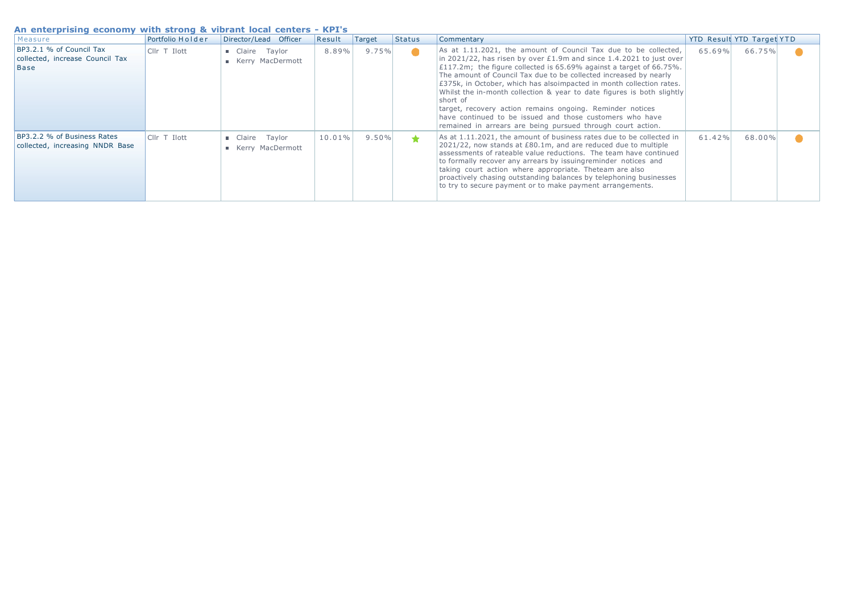#### **An enterprising economy with strong & vibrant local centers KPI's**

| Measure                                                                    | Portfolio Holder | Director/Lead Officer                               | Result    | Target | <b>Status</b> | Commentary                                                                                                                                                                                                                                                                                                                                                                                                                                                                                                                                                                                                                                                 |        | YTD Result YTD Target YTD |  |
|----------------------------------------------------------------------------|------------------|-----------------------------------------------------|-----------|--------|---------------|------------------------------------------------------------------------------------------------------------------------------------------------------------------------------------------------------------------------------------------------------------------------------------------------------------------------------------------------------------------------------------------------------------------------------------------------------------------------------------------------------------------------------------------------------------------------------------------------------------------------------------------------------------|--------|---------------------------|--|
| BP3.2.1 % of Council Tax<br>collected, increase Council Tax<br><b>Base</b> | Cllr T Ilott     | Claire Taylor<br>Kerry MacDermott                   | 8.89%     | 9.75%  | $\bullet$     | As at $1.11.2021$ , the amount of Council Tax due to be collected,<br>$\ln 2021/22$ , has risen by over £1.9m and since 1.4.2021 to just over<br>$\pm 117.2$ m; the figure collected is 65.69% against a target of 66.75%.<br>The amount of Council Tax due to be collected increased by nearly<br>$\pm$ 375k, in October, which has alsoimpacted in month collection rates.<br>Whilst the in-month collection & year to date figures is both slightly<br>short of<br>target, recovery action remains ongoing. Reminder notices<br>have continued to be issued and those customers who have<br>remained in arrears are being pursued through court action. | 65.69% | 66.75%                    |  |
| BP3.2.2 % of Business Rates<br>collected, increasing NNDR Base             | Cllr T Ilott     | <b>E</b> Claire Taylor<br><b>E</b> Kerry MacDermott | $10.01\%$ | 9.50%  | ★             | As at 1.11.2021, the amount of business rates due to be collected in<br>2021/22, now stands at £80.1m, and are reduced due to multiple<br>assessments of rateable value reductions. The team have continued<br>to formally recover any arrears by issuingreminder notices and<br>taking court action where appropriate. Theteam are also<br>proactively chasing outstanding balances by telephoning businesses<br>to try to secure payment or to make payment arrangements.                                                                                                                                                                                | 61.42% | 68.00%                    |  |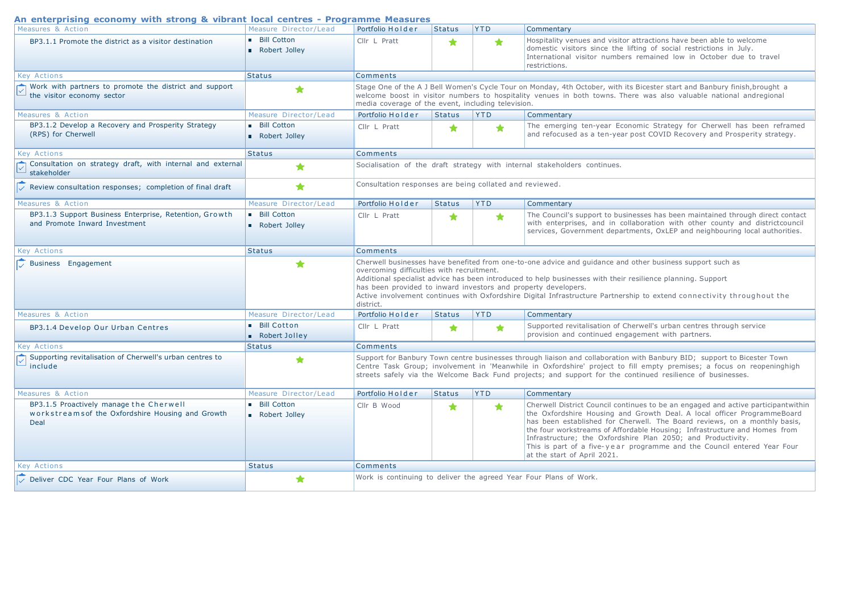#### **An enterprising economy with strong & vibrant local centres Programme Measures**

| An enterprising economy with strong $\alpha$ vibrant local centres - Frogramme measures |                                     |                                                                                                                                                                                                                                                                                                                                                                                                                                                                                |                                                                                                                                                                                                                                                                                                        |            |                                                                                                                                                                                                                                                                                                                                                                                                             |  |  |  |
|-----------------------------------------------------------------------------------------|-------------------------------------|--------------------------------------------------------------------------------------------------------------------------------------------------------------------------------------------------------------------------------------------------------------------------------------------------------------------------------------------------------------------------------------------------------------------------------------------------------------------------------|--------------------------------------------------------------------------------------------------------------------------------------------------------------------------------------------------------------------------------------------------------------------------------------------------------|------------|-------------------------------------------------------------------------------------------------------------------------------------------------------------------------------------------------------------------------------------------------------------------------------------------------------------------------------------------------------------------------------------------------------------|--|--|--|
| Measures & Action                                                                       | Measure Director/Lead               | Portfolio Holder                                                                                                                                                                                                                                                                                                                                                                                                                                                               | <b>Status</b>                                                                                                                                                                                                                                                                                          | <b>YTD</b> | Commentary                                                                                                                                                                                                                                                                                                                                                                                                  |  |  |  |
| BP3.1.1 Promote the district as a visitor destination                                   | <b>Bill Cotton</b><br>Robert Jolley | Cllr L Pratt                                                                                                                                                                                                                                                                                                                                                                                                                                                                   | ★                                                                                                                                                                                                                                                                                                      | ★          | Hospitality venues and visitor attractions have been able to welcome<br>domestic visitors since the lifting of social restrictions in July.<br>International visitor numbers remained low in October due to travel<br>restrictions.                                                                                                                                                                         |  |  |  |
| <b>Key Actions</b>                                                                      | <b>Status</b>                       | Comments                                                                                                                                                                                                                                                                                                                                                                                                                                                                       |                                                                                                                                                                                                                                                                                                        |            |                                                                                                                                                                                                                                                                                                                                                                                                             |  |  |  |
| Work with partners to promote the district and support<br>the visitor economy sector    | ★                                   |                                                                                                                                                                                                                                                                                                                                                                                                                                                                                | Stage One of the A J Bell Women's Cycle Tour on Monday, 4th October, with its Bicester start and Banbury finish, brought a<br>welcome boost in visitor numbers to hospitality venues in both towns. There was also valuable national andregional<br>media coverage of the event, including television. |            |                                                                                                                                                                                                                                                                                                                                                                                                             |  |  |  |
| Measures & Action                                                                       | Measure Director/Lead               | Portfolio Holder                                                                                                                                                                                                                                                                                                                                                                                                                                                               | <b>Status</b>                                                                                                                                                                                                                                                                                          | <b>YTD</b> | Commentary                                                                                                                                                                                                                                                                                                                                                                                                  |  |  |  |
| BP3.1.2 Develop a Recovery and Prosperity Strategy<br>(RPS) for Cherwell                | <b>Bill Cotton</b><br>Robert Jolley | Cllr L Pratt                                                                                                                                                                                                                                                                                                                                                                                                                                                                   | ★                                                                                                                                                                                                                                                                                                      | ★          | The emerging ten-year Economic Strategy for Cherwell has been reframed<br>and refocused as a ten-year post COVID Recovery and Prosperity strategy.                                                                                                                                                                                                                                                          |  |  |  |
| <b>Key Actions</b>                                                                      | <b>Status</b>                       | Comments                                                                                                                                                                                                                                                                                                                                                                                                                                                                       |                                                                                                                                                                                                                                                                                                        |            |                                                                                                                                                                                                                                                                                                                                                                                                             |  |  |  |
| Consultation on strategy draft, with internal and external<br>stakeholder               | ★                                   |                                                                                                                                                                                                                                                                                                                                                                                                                                                                                |                                                                                                                                                                                                                                                                                                        |            | Socialisation of the draft strategy with internal stakeholders continues.                                                                                                                                                                                                                                                                                                                                   |  |  |  |
| Review consultation responses; completion of final draft                                | ◆                                   | Consultation responses are being collated and reviewed.                                                                                                                                                                                                                                                                                                                                                                                                                        |                                                                                                                                                                                                                                                                                                        |            |                                                                                                                                                                                                                                                                                                                                                                                                             |  |  |  |
| Measures & Action                                                                       | Measure Director/Lead               | Portfolio Holder                                                                                                                                                                                                                                                                                                                                                                                                                                                               | <b>Status</b>                                                                                                                                                                                                                                                                                          | <b>YTD</b> | Commentary                                                                                                                                                                                                                                                                                                                                                                                                  |  |  |  |
| BP3.1.3 Support Business Enterprise, Retention, Growth<br>and Promote Inward Investment | <b>Bill Cotton</b><br>Robert Jolley | Cllr L Pratt                                                                                                                                                                                                                                                                                                                                                                                                                                                                   | ★                                                                                                                                                                                                                                                                                                      | $\bigstar$ | The Council's support to businesses has been maintained through direct contact<br>with enterprises, and in collaboration with other county and districtcouncil<br>services, Government departments, OxLEP and neighbouring local authorities.                                                                                                                                                               |  |  |  |
| <b>Key Actions</b>                                                                      | <b>Status</b>                       | Comments                                                                                                                                                                                                                                                                                                                                                                                                                                                                       |                                                                                                                                                                                                                                                                                                        |            |                                                                                                                                                                                                                                                                                                                                                                                                             |  |  |  |
| Business Engagement                                                                     | ★                                   | Cherwell businesses have benefited from one-to-one advice and guidance and other business support such as<br>overcoming difficulties with recruitment.<br>Additional specialist advice has been introduced to help businesses with their resilience planning. Support<br>has been provided to inward investors and property developers.<br>Active involvement continues with Oxfordshire Digital Infrastructure Partnership to extend connectivity throughout the<br>district. |                                                                                                                                                                                                                                                                                                        |            |                                                                                                                                                                                                                                                                                                                                                                                                             |  |  |  |
| Measures & Action                                                                       | Measure Director/Lead               | Portfolio Holder                                                                                                                                                                                                                                                                                                                                                                                                                                                               | <b>Status</b>                                                                                                                                                                                                                                                                                          | <b>YTD</b> | Commentary                                                                                                                                                                                                                                                                                                                                                                                                  |  |  |  |
| BP3.1.4 Develop Our Urban Centres                                                       | Bill Cotton<br>Robert Jolley        | Cllr L Pratt                                                                                                                                                                                                                                                                                                                                                                                                                                                                   | ★                                                                                                                                                                                                                                                                                                      | ★          | Supported revitalisation of Cherwell's urban centres through service<br>provision and continued engagement with partners.                                                                                                                                                                                                                                                                                   |  |  |  |
| <b>Key Actions</b>                                                                      | <b>Status</b>                       | Comments                                                                                                                                                                                                                                                                                                                                                                                                                                                                       |                                                                                                                                                                                                                                                                                                        |            |                                                                                                                                                                                                                                                                                                                                                                                                             |  |  |  |
| Supporting revitalisation of Cherwell's urban centres to<br>include                     | ★                                   |                                                                                                                                                                                                                                                                                                                                                                                                                                                                                |                                                                                                                                                                                                                                                                                                        |            | Support for Banbury Town centre businesses through liaison and collaboration with Banbury BID; support to Bicester Town<br>Centre Task Group; involvement in 'Meanwhile in Oxfordshire' project to fill empty premises; a focus on reopeninghigh<br>streets safely via the Welcome Back Fund projects; and support for the continued resilience of businesses.                                              |  |  |  |
| Measures & Action                                                                       | Measure Director/Lead               | Portfolio Holder                                                                                                                                                                                                                                                                                                                                                                                                                                                               | <b>Status</b>                                                                                                                                                                                                                                                                                          | <b>YTD</b> | Commentary                                                                                                                                                                                                                                                                                                                                                                                                  |  |  |  |
| BP3.1.5 Proactively manage the Cherwell                                                 | <b>Bill Cotton</b>                  | Cllr B Wood                                                                                                                                                                                                                                                                                                                                                                                                                                                                    | ★                                                                                                                                                                                                                                                                                                      | $\bigstar$ | Cherwell District Council continues to be an engaged and active participantwithin                                                                                                                                                                                                                                                                                                                           |  |  |  |
| workstreams of the Oxfordshire Housing and Growth<br>Deal                               | Robert Jolley                       |                                                                                                                                                                                                                                                                                                                                                                                                                                                                                |                                                                                                                                                                                                                                                                                                        |            | the Oxfordshire Housing and Growth Deal. A local officer ProgrammeBoard<br>has been established for Cherwell. The Board reviews, on a monthly basis,<br>the four workstreams of Affordable Housing; Infrastructure and Homes from<br>Infrastructure; the Oxfordshire Plan 2050; and Productivity.<br>This is part of a five-year programme and the Council entered Year Four<br>at the start of April 2021. |  |  |  |
| <b>Key Actions</b>                                                                      | <b>Status</b>                       | Comments                                                                                                                                                                                                                                                                                                                                                                                                                                                                       |                                                                                                                                                                                                                                                                                                        |            |                                                                                                                                                                                                                                                                                                                                                                                                             |  |  |  |
| Deliver CDC Year Four Plans of Work                                                     |                                     | Work is continuing to deliver the agreed Year Four Plans of Work.                                                                                                                                                                                                                                                                                                                                                                                                              |                                                                                                                                                                                                                                                                                                        |            |                                                                                                                                                                                                                                                                                                                                                                                                             |  |  |  |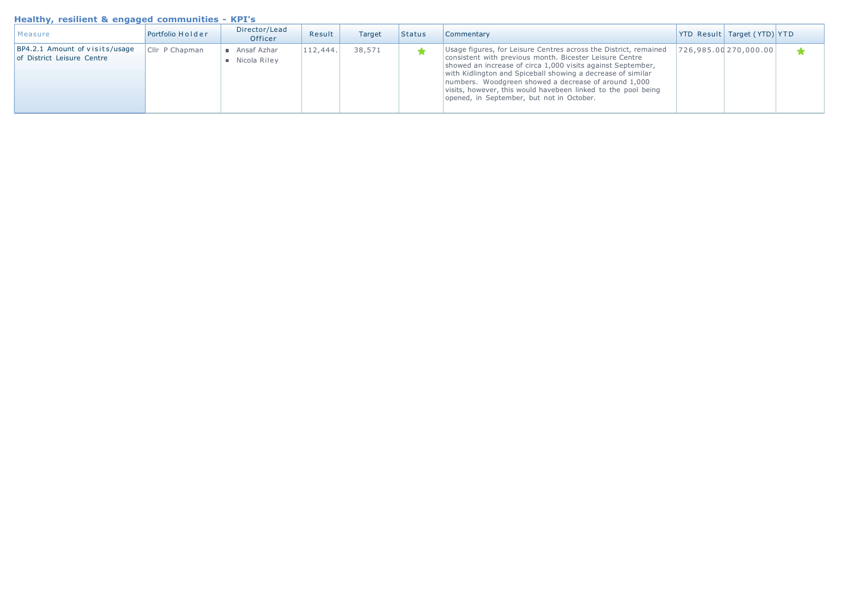### **Healthy, resilient & engaged communities - KPI's**

| Measure                                                      | Portfolio Holder | Director/Lead<br>Officer                     | Result   | Target | Status | <b>Commentary</b>                                                                                                                                                                                                                                                                                                                                                                                                               | <b>YTD Result Target (YTD) YTD</b> |  |
|--------------------------------------------------------------|------------------|----------------------------------------------|----------|--------|--------|---------------------------------------------------------------------------------------------------------------------------------------------------------------------------------------------------------------------------------------------------------------------------------------------------------------------------------------------------------------------------------------------------------------------------------|------------------------------------|--|
| BP4.2.1 Amount of visits/usage<br>of District Leisure Centre | Cllr P Chapman   | ■ Ansaf Azhar<br>$\blacksquare$ Nicola Riley | 112,444. | 38,571 |        | Usage figures, for Leisure Centres across the District, remained<br>consistent with previous month. Bicester Leisure Centre<br>showed an increase of circa 1,000 visits against September,<br>with Kidlington and Spiceball showing a decrease of similar<br>numbers. Woodgreen showed a decrease of around 1,000<br>visits, however, this would havebeen linked to the pool being<br>opened, in September, but not in October. | 726,985.00 270,000.00              |  |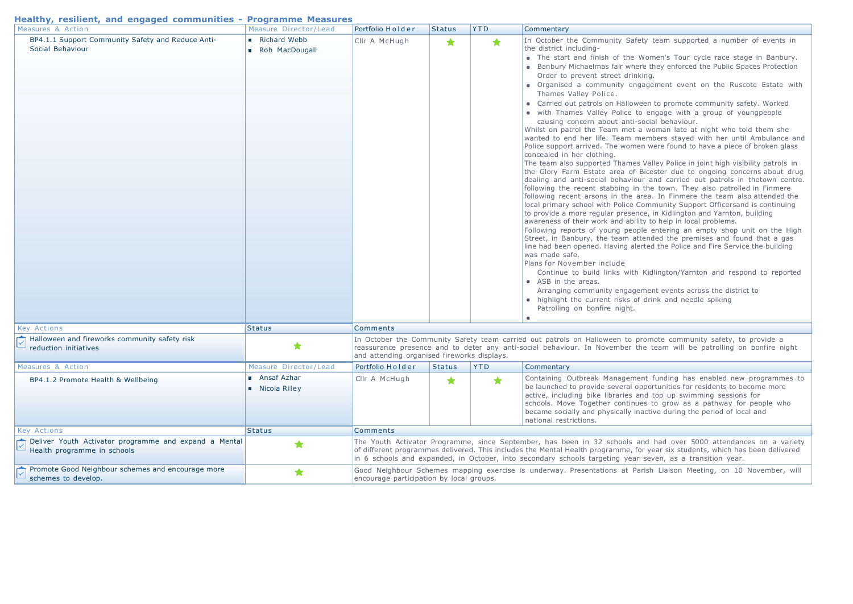| Healthy, resilient, and engaged communities - Programme Measures |                       |                  |               |            |                   |
|------------------------------------------------------------------|-----------------------|------------------|---------------|------------|-------------------|
| Measures & Action                                                | Measure Director/Lead | Portfolio Holder | <b>Status</b> | <b>YTD</b> | <b>Commentary</b> |
| BP4.1.1 Support Community Safety and Reduce Anti-                | Richard Webb          | Cllr A McHugh    |               |            | In October t      |

| BP4.1.1 Support Community Safety and Reduce Anti-<br>Social Behaviour                | Richard Webb<br>Rob MacDougall     | Cllr A McHugh                                                                                                                                                                                                                                                                                                                                                   |               | $\bullet$  | In October the Community Safety team supported a number of events in<br>the district including-<br>• The start and finish of the Women's Tour cycle race stage in Banbury.<br>• Banbury Michaelmas fair where they enforced the Public Spaces Protection<br>Order to prevent street drinking.<br>• Organised a community engagement event on the Ruscote Estate with<br>Thames Valley Police.<br>• Carried out patrols on Halloween to promote community safety. Worked<br>• with Thames Valley Police to engage with a group of youngpeople<br>causing concern about anti-social behaviour.<br>Whilst on patrol the Team met a woman late at night who told them she<br>wanted to end her life. Team members stayed with her until Ambulance and<br>Police support arrived. The women were found to have a piece of broken glass<br>concealed in her clothing.<br>The team also supported Thames Valley Police in joint high visibility patrols in<br>the Glory Farm Estate area of Bicester due to ongoing concerns about drug<br>dealing and anti-social behaviour and carried out patrols in thetown centre.<br>following the recent stabbing in the town. They also patrolled in Finmere<br>following recent arsons in the area. In Finmere the team also attended the<br>local primary school with Police Community Support Officersand is continuing<br>to provide a more regular presence, in Kidlington and Yarnton, building<br>awareness of their work and ability to help in local problems.<br>Following reports of young people entering an empty shop unit on the High<br>Street, in Banbury, the team attended the premises and found that a gas<br>line had been opened. Having alerted the Police and Fire Service the building<br>was made safe.<br>Plans for November include<br>Continue to build links with Kidlington/Yarnton and respond to reported<br>• ASB in the areas.<br>Arranging community engagement events across the district to<br>• highlight the current risks of drink and needle spiking<br>Patrolling on bonfire night.<br>$\blacksquare$ |  |  |
|--------------------------------------------------------------------------------------|------------------------------------|-----------------------------------------------------------------------------------------------------------------------------------------------------------------------------------------------------------------------------------------------------------------------------------------------------------------------------------------------------------------|---------------|------------|------------------------------------------------------------------------------------------------------------------------------------------------------------------------------------------------------------------------------------------------------------------------------------------------------------------------------------------------------------------------------------------------------------------------------------------------------------------------------------------------------------------------------------------------------------------------------------------------------------------------------------------------------------------------------------------------------------------------------------------------------------------------------------------------------------------------------------------------------------------------------------------------------------------------------------------------------------------------------------------------------------------------------------------------------------------------------------------------------------------------------------------------------------------------------------------------------------------------------------------------------------------------------------------------------------------------------------------------------------------------------------------------------------------------------------------------------------------------------------------------------------------------------------------------------------------------------------------------------------------------------------------------------------------------------------------------------------------------------------------------------------------------------------------------------------------------------------------------------------------------------------------------------------------------------------------------------------------------------------------------------------------------------------------------------------------------------------|--|--|
| <b>Key Actions</b>                                                                   | <b>Status</b>                      | <b>Comments</b>                                                                                                                                                                                                                                                                                                                                                 |               |            |                                                                                                                                                                                                                                                                                                                                                                                                                                                                                                                                                                                                                                                                                                                                                                                                                                                                                                                                                                                                                                                                                                                                                                                                                                                                                                                                                                                                                                                                                                                                                                                                                                                                                                                                                                                                                                                                                                                                                                                                                                                                                    |  |  |
| Halloween and fireworks community safety risk<br>reduction initiatives               | ★                                  | and attending organised fireworks displays.                                                                                                                                                                                                                                                                                                                     |               |            | In October the Community Safety team carried out patrols on Halloween to promote community safety, to provide a<br>reassurance presence and to deter any anti-social behaviour. In November the team will be patrolling on bonfire night                                                                                                                                                                                                                                                                                                                                                                                                                                                                                                                                                                                                                                                                                                                                                                                                                                                                                                                                                                                                                                                                                                                                                                                                                                                                                                                                                                                                                                                                                                                                                                                                                                                                                                                                                                                                                                           |  |  |
| Measures & Action                                                                    | Measure Director/Lead              | Portfolio Holder                                                                                                                                                                                                                                                                                                                                                | <b>Status</b> | <b>YTD</b> | Commentary                                                                                                                                                                                                                                                                                                                                                                                                                                                                                                                                                                                                                                                                                                                                                                                                                                                                                                                                                                                                                                                                                                                                                                                                                                                                                                                                                                                                                                                                                                                                                                                                                                                                                                                                                                                                                                                                                                                                                                                                                                                                         |  |  |
| BP4.1.2 Promote Health & Wellbeing                                                   | Ansaf Azhar<br><b>Nicola Riley</b> | Cllr A McHugh                                                                                                                                                                                                                                                                                                                                                   | ★             | $\bigstar$ | Containing Outbreak Management funding has enabled new programmes to<br>be launched to provide several opportunities for residents to become more<br>active, including bike libraries and top up swimming sessions for<br>schools. Move Together continues to grow as a pathway for people who<br>became socially and physically inactive during the period of local and<br>national restrictions.                                                                                                                                                                                                                                                                                                                                                                                                                                                                                                                                                                                                                                                                                                                                                                                                                                                                                                                                                                                                                                                                                                                                                                                                                                                                                                                                                                                                                                                                                                                                                                                                                                                                                 |  |  |
| <b>Key Actions</b>                                                                   | <b>Status</b>                      | <b>Comments</b>                                                                                                                                                                                                                                                                                                                                                 |               |            |                                                                                                                                                                                                                                                                                                                                                                                                                                                                                                                                                                                                                                                                                                                                                                                                                                                                                                                                                                                                                                                                                                                                                                                                                                                                                                                                                                                                                                                                                                                                                                                                                                                                                                                                                                                                                                                                                                                                                                                                                                                                                    |  |  |
| Deliver Youth Activator programme and expand a Mental<br>Health programme in schools | ★                                  | The Youth Activator Programme, since September, has been in 32 schools and had over 5000 attendances on a variety<br>of different programmes delivered. This includes the Mental Health programme, for year six students, which has been delivered<br>in 6 schools and expanded, in October, into secondary schools targeting year seven, as a transition year. |               |            |                                                                                                                                                                                                                                                                                                                                                                                                                                                                                                                                                                                                                                                                                                                                                                                                                                                                                                                                                                                                                                                                                                                                                                                                                                                                                                                                                                                                                                                                                                                                                                                                                                                                                                                                                                                                                                                                                                                                                                                                                                                                                    |  |  |
| Promote Good Neighbour schemes and encourage more<br>schemes to develop.             | ★                                  | Good Neighbour Schemes mapping exercise is underway. Presentations at Parish Liaison Meeting, on 10 November, will<br>encourage participation by local groups.                                                                                                                                                                                                  |               |            |                                                                                                                                                                                                                                                                                                                                                                                                                                                                                                                                                                                                                                                                                                                                                                                                                                                                                                                                                                                                                                                                                                                                                                                                                                                                                                                                                                                                                                                                                                                                                                                                                                                                                                                                                                                                                                                                                                                                                                                                                                                                                    |  |  |